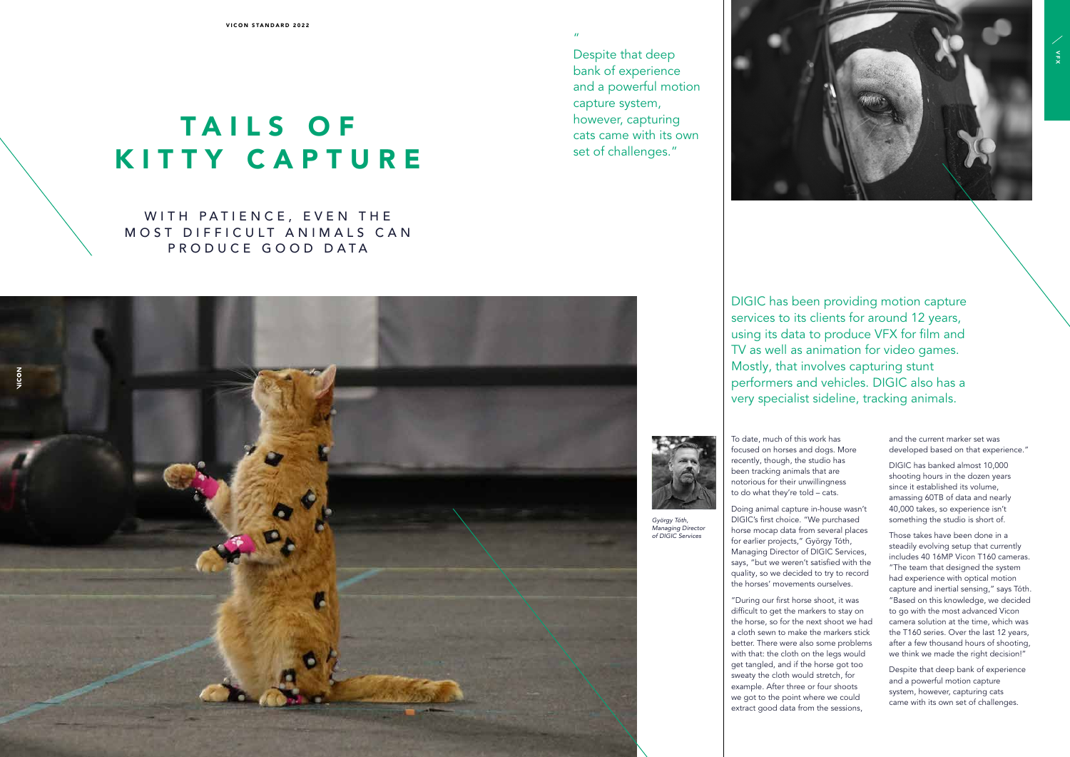## TAILS OF KITTY CAPTURE

WITH PATIENCE, EVEN THE MOST DIFFICULT ANIMALS CAN PRODUCE GOOD DATA



DIGIC has been providing motion capture services to its clients for around 12 years, using its data to produce VFX for film and TV as well as animation for video games. Mostly, that involves capturing stunt performers and vehicles. DIGIC also has a very specialist sideline, tracking animals.

"



Despite that deep bank of experience and a powerful motion capture system, however, capturing

cats came with its own

set of challenges."

To date, much of this work has focused on horses and dogs. More recently, though, the studio has been tracking animals that are notorious for their unwillingness to do what they're told – cats.

Doing animal capture in-house wasn't DIGIC's first choice. "We purchased horse mocap data from several places for earlier projects," György Tóth, Managing Director of DIGIC Services, says, "but we weren't satisfied with the quality, so we decided to try to record the horses' movements ourselves.

"During our first horse shoot, it was difficult to get the markers to stay on the horse, so for the next shoot we had a cloth sewn to make the markers stick better. There were also some problems with that: the cloth on the legs would get tangled, and if the horse got too sweaty the cloth would stretch, for example. After three or four shoots we got to the point where we could extract good data from the sessions,



and the current marker set was developed based on that experience."

DIGIC has banked almost 10,000 shooting hours in the dozen years since it established its volume, amassing 60TB of data and nearly 40,000 takes, so experience isn't something the studio is short of.

Those takes have been done in a steadily evolving setup that currently includes 40 16MP Vicon T160 cameras. "The team that designed the system had experience with optical motion capture and inertial sensing," says Tóth. "Based on this knowledge, we decided to go with the most advanced Vicon camera solution at the time, which was the T160 series. Over the last 12 years, after a few thousand hours of shooting, we think we made the right decision!"

Despite that deep bank of experience and a powerful motion capture system, however, capturing cats came with its own set of challenges.

*György Tóth, Managing Director of DIGIC Services*